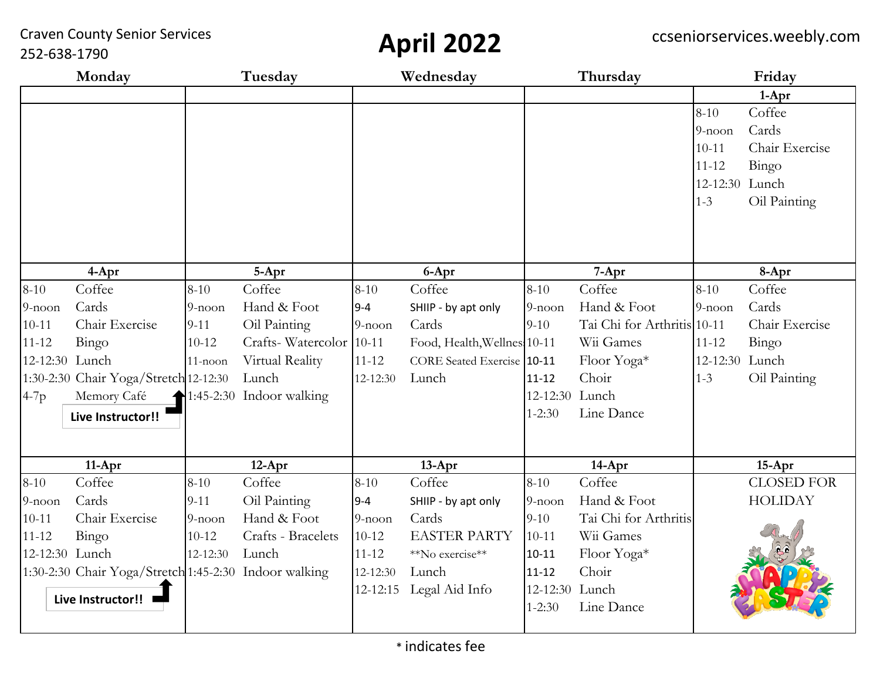Craven County Senior Services Craven County Senior Services<br>
252-638-1790<br>
252-638-1790

| Monday         |                                                       | Tuesday    |                                      | Wednesday    |                                   | Thursday                     |                             | Friday         |                   |
|----------------|-------------------------------------------------------|------------|--------------------------------------|--------------|-----------------------------------|------------------------------|-----------------------------|----------------|-------------------|
|                |                                                       |            |                                      |              |                                   |                              | $1-Apr$                     |                |                   |
|                |                                                       |            |                                      |              |                                   |                              |                             | $8 - 10$       | Coffee            |
|                |                                                       |            |                                      |              |                                   |                              |                             | $9$ -noon      | Cards             |
|                |                                                       |            |                                      |              |                                   |                              |                             | $10 - 11$      | Chair Exercise    |
|                |                                                       |            |                                      |              |                                   |                              |                             | $11 - 12$      | Bingo             |
|                |                                                       |            |                                      |              |                                   |                              |                             | 12-12:30 Lunch |                   |
|                |                                                       |            |                                      |              |                                   |                              |                             | $1 - 3$        | Oil Painting      |
|                |                                                       |            |                                      |              |                                   |                              |                             |                |                   |
|                | $4-Apr$                                               | 5-Apr      |                                      | 6-Apr        |                                   | 7-Apr                        |                             | 8-Apr          |                   |
| $8 - 10$       | Coffee                                                | $8 - 10$   | Coffee                               | $8 - 10$     | Coffee                            | $8 - 10$                     | Coffee                      | $8 - 10$       | Coffee            |
| $9$ -noon      | Cards                                                 | $9$ -noon  | Hand & Foot                          | $9 - 4$      | SHIIP - by apt only               | $9$ -noon                    | Hand & Foot                 | $9$ -noon      | Cards             |
| $10 - 11$      | Chair Exercise                                        | $9 - 11$   | Oil Painting                         | $9$ -noon    | Cards                             | $9 - 10$                     | Tai Chi for Arthritis 10-11 |                | Chair Exercise    |
| $11 - 12$      | Bingo                                                 | $10-12$    | Crafts-Watercolor                    | $10 - 11$    | Food, Health, Wellnes 10-11       |                              | Wii Games                   | $11 - 12$      | Bingo             |
| 12-12:30 Lunch |                                                       | $11$ -noon | Virtual Reality                      | $11 - 12$    | <b>CORE</b> Seated Exercise 10-11 |                              | Floor Yoga*                 | 12-12:30 Lunch |                   |
|                | 1:30-2:30 Chair Yoga/Stretch 12-12:30                 |            | Lunch                                | $12 - 12:30$ | Lunch                             | $11 - 12$                    | Choir                       | $1 - 3$        | Oil Painting      |
| $4-7p$         | Memory Café                                           |            | $\triangle$ 1:45-2:30 Indoor walking |              |                                   | 12-12:30 Lunch               |                             |                |                   |
|                | Live Instructor!!                                     |            |                                      |              |                                   | $1 - 2:30$                   | Line Dance                  |                |                   |
|                |                                                       |            |                                      |              |                                   |                              |                             |                |                   |
|                | $11-Apr$                                              |            | $12-Apr$                             |              | $13-Apr$                          |                              | $14-Apr$                    |                | $15-Apr$          |
| $8 - 10$       | Coffee                                                | $8 - 10$   | Coffee                               | $8 - 10$     | Coffee                            | $8 - 10$                     | Coffee                      |                | <b>CLOSED FOR</b> |
| $9$ -noon      | Cards                                                 | $9 - 11$   | Oil Painting                         | $9 - 4$      | SHIIP - by apt only               | $9$ -noon                    | Hand & Foot                 |                | <b>HOLIDAY</b>    |
| $10 - 11$      | Chair Exercise                                        | $9$ -noon  | Hand & Foot                          | $9$ -noon    | Cards                             | $9 - 10$                     | Tai Chi for Arthritis       |                |                   |
| $11 - 12$      | Bingo                                                 | $10 - 12$  | Crafts - Bracelets                   | $10 - 12$    | <b>EASTER PARTY</b>               | $10 - 11$                    | Wii Games                   |                |                   |
| 12-12:30 Lunch |                                                       | 12-12:30   | Lunch                                | $11 - 12$    | **No exercise**                   | $10 - 11$                    | Floor Yoga*                 |                |                   |
|                | 1:30-2:30 Chair Yoga/Stretch 1:45-2:30 Indoor walking |            |                                      | $12 - 12:30$ | Lunch                             | $11 - 12$                    | Choir                       |                |                   |
|                | Live Instructor!!                                     |            |                                      |              | 12-12:15 Legal Aid Info           | 12-12:30 Lunch<br>$1 - 2:30$ | Line Dance                  |                |                   |